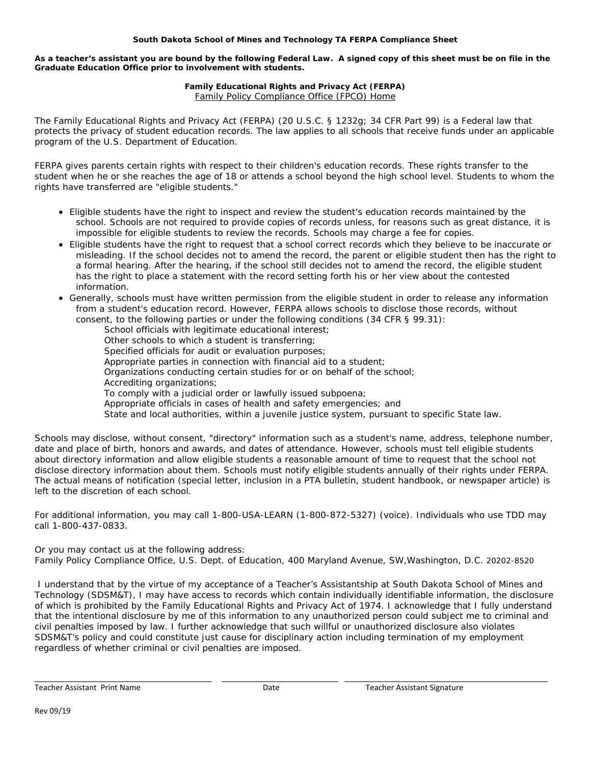## **South Dakota School of Mines and Technology TA FERPA Compliance Sheet**

**As a teacher's assistant you are bound by the following Federal Law. A signed copy of this sheet must be on file in the Graduate Education Office prior to involvement with students.** 

## **Family Educational Rights and Privacy Act (FERPA)** Family Policy Compliance Office (FPCO) Home

The Family Educational Rights and Privacy Act (FERPA) (20 U.S.C. § 1232g; 34 CFR Part 99) is a Federal law that protects the privacy of student education records. The law applies to all schools that receive funds under an applicable program of the U.S. Department of Education.

FERPA gives parents certain rights with respect to their children's education records. These rights transfer to the student when he or she reaches the age of 18 or attends a school beyond the high school level. Students to whom the rights have transferred are "eligible students."

- Eligible students have the right to inspect and review the student's education records maintained by the school. Schools are not required to provide copies of records unless, for reasons such as great distance, it is impossible for eligible students to review the records. Schools may charge a fee for copies.
- Eligible students have the right to request that a school correct records which they believe to be inaccurate or misleading. If the school decides not to amend the record, the parent or eligible student then has the right to a formal hearing. After the hearing, if the school still decides not to amend the record, the eligible student has the right to place a statement with the record setting forth his or her view about the contested information.
- Generally, schools must have written permission from the eligible student in order to release any information from a student's education record. However, FERPA allows schools to disclose those records, without consent, to the following parties or under the following conditions (34 CFR § 99.31):

School officials with legitimate educational interest;

- Other schools to which a student is transferring;
- Specified officials for audit or evaluation purposes;
- Appropriate parties in connection with financial aid to a student;
- Organizations conducting certain studies for or on behalf of the school;
- Accrediting organizations;

To comply with a judicial order or lawfully issued subpoena;

- Appropriate officials in cases of health and safety emergencies; and
- State and local authorities, within a juvenile justice system, pursuant to specific State law.

Schools may disclose, without consent, "directory" information such as a student's name, address, telephone number, date and place of birth, honors and awards, and dates of attendance. However, schools must tell eligible students about directory information and allow eligible students a reasonable amount of time to request that the school not disclose directory information about them. Schools must notify eligible students annually of their rights under FERPA. The actual means of notification (special letter, inclusion in a PTA bulletin, student handbook, or newspaper article) is left to the discretion of each school.

For additional information, you may call 1-800-USA-LEARN (1-800-872-5327) (voice). Individuals who use TDD may call 1-800-437-0833.

Or you may contact us at the following address:

Family Policy Compliance Office, U.S. Dept. of Education, 400 Maryland Avenue, SW,Washington, D.C. 20202-8520

 I understand that by the virtue of my acceptance of a Teacher's Assistantship at South Dakota School of Mines and Technology (SDSM&T), I may have access to records which contain individually identifiable information, the disclosure of which is prohibited by the Family Educational Rights and Privacy Act of 1974. I acknowledge that I fully understand that the intentional disclosure by me of this information to any unauthorized person could subject me to criminal and civil penalties imposed by law. I further acknowledge that such willful or unauthorized disclosure also violates SDSM&T's policy and could constitute just cause for disciplinary action including termination of my employment regardless of whether criminal or civil penalties are imposed.